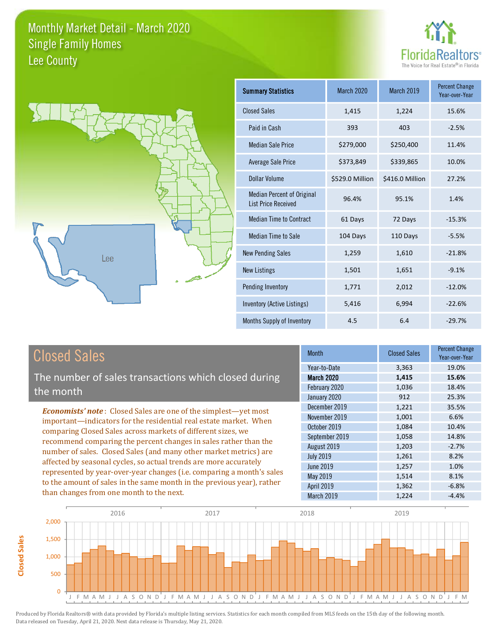



| <b>Summary Statistics</b>                                       | <b>March 2020</b> | <b>March 2019</b> | <b>Percent Change</b><br>Year-over-Year |
|-----------------------------------------------------------------|-------------------|-------------------|-----------------------------------------|
| <b>Closed Sales</b>                                             | 1,415             | 1,224             | 15.6%                                   |
| Paid in Cash                                                    | 393               | 403               | $-2.5%$                                 |
| Median Sale Price                                               | \$279,000         | \$250,400         | 11.4%                                   |
| <b>Average Sale Price</b>                                       | \$373,849         | \$339,865         | 10.0%                                   |
| Dollar Volume                                                   | \$529.0 Million   | \$416.0 Million   | 27.2%                                   |
| <b>Median Percent of Original</b><br><b>List Price Received</b> | 96.4%             | 95.1%             | 1.4%                                    |
| <b>Median Time to Contract</b>                                  | 61 Days           | 72 Days           | $-15.3%$                                |
| <b>Median Time to Sale</b>                                      | 104 Days          | 110 Days          | $-5.5%$                                 |
| <b>New Pending Sales</b>                                        | 1,259             | 1,610             | $-21.8%$                                |
| New Listings                                                    | 1,501             | 1,651             | $-9.1%$                                 |
| Pending Inventory                                               | 1,771             | 2,012             | $-12.0%$                                |
| Inventory (Active Listings)                                     | 5,416             | 6,994             | $-22.6%$                                |
| Months Supply of Inventory                                      | 4.5               | 6.4               | $-29.7%$                                |

## **Closed Sales**

**Closed Sales** 

The number of sales transactions which closed during the month

**Economists' note:** Closed Sales are one of the simplest-yet most important-indicators for the residential real estate market. When comparing Closed Sales across markets of different sizes, we recommend comparing the percent changes in sales rather than the number of sales. Closed Sales (and many other market metrics) are affected by seasonal cycles, so actual trends are more accurately represented by year-over-year changes (i.e. comparing a month's sales to the amount of sales in the same month in the previous year), rather than changes from one month to the next.

| <b>Month</b>      | <b>Closed Sales</b> | <b>Percent Change</b><br>Year-over-Year |
|-------------------|---------------------|-----------------------------------------|
| Year-to-Date      | 3,363               | 19.0%                                   |
| <b>March 2020</b> | 1,415               | 15.6%                                   |
| February 2020     | 1,036               | 18.4%                                   |
| January 2020      | 912                 | 25.3%                                   |
| December 2019     | 1,221               | 35.5%                                   |
| November 2019     | 1,001               | 6.6%                                    |
| October 2019      | 1,084               | 10.4%                                   |
| September 2019    | 1,058               | 14.8%                                   |
| August 2019       | 1,203               | $-2.7%$                                 |
| <b>July 2019</b>  | 1,261               | 8.2%                                    |
| <b>June 2019</b>  | 1,257               | 1.0%                                    |
| May 2019          | 1,514               | 8.1%                                    |
| April 2019        | 1,362               | $-6.8%$                                 |
| March 2019        | 1,224               | $-4.4%$                                 |

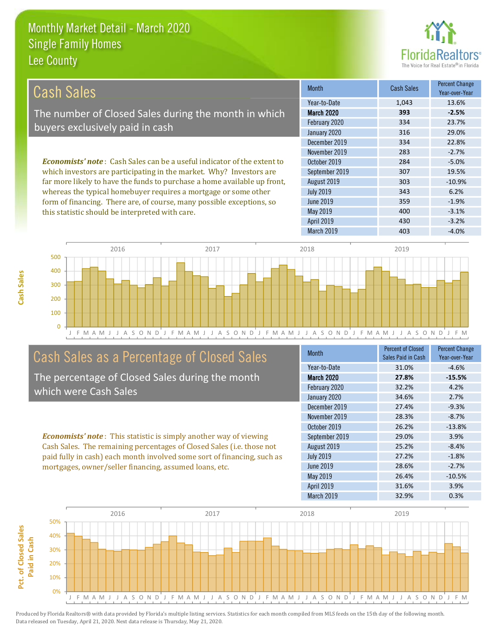this statistic should be interpreted with care.



 $-3.1%$ 

 $-3.2%$ 

| Cash Sales                                                                     | <b>Month</b>      | <b>Cash Sales</b> | <b>Percent Change</b><br>Year-over-Year |
|--------------------------------------------------------------------------------|-------------------|-------------------|-----------------------------------------|
|                                                                                | Year-to-Date      | 1.043             | 13.6%                                   |
| The number of Closed Sales during the month in which                           | <b>March 2020</b> | 393               | $-2.5%$                                 |
| buyers exclusively paid in cash                                                | February 2020     | 334               | 23.7%                                   |
|                                                                                | January 2020      | 316               | 29.0%                                   |
|                                                                                | December 2019     | 334               | 22.8%                                   |
|                                                                                | November 2019     | 283               | $-2.7%$                                 |
| <b>Economists' note:</b> Cash Sales can be a useful indicator of the extent to | October 2019      | 284               | $-5.0%$                                 |
| which investors are participating in the market. Why? Investors are            | September 2019    | 307               | 19.5%                                   |
| far more likely to have the funds to purchase a home available up front,       | August 2019       | 303               | $-10.9%$                                |
| whereas the typical homebuyer requires a mortgage or some other                | <b>July 2019</b>  | 343               | 6.2%                                    |
| form of financing. There are of course many possible exceptions so             | June 2019         | 359               | $-1.9%$                                 |

May 2019

April 2019



## Cash Sales as a Percentage of Closed Sales

The percentage of Closed Sales during the month which were Cash Sales

**Economists' note:** This statistic is simply another way of viewing Cash Sales. The remaining percentages of Closed Sales (i.e. those not paid fully in cash) each month involved some sort of financing, such as mortgages, owner/seller financing, assumed loans, etc.

| <b>Month</b>      | <b>Percent of Closed</b><br>Sales Paid in Cash | <b>Percent Change</b><br>Year-over-Year |
|-------------------|------------------------------------------------|-----------------------------------------|
| Year-to-Date      | 31.0%                                          | $-4.6%$                                 |
| <b>March 2020</b> | 27.8%                                          | $-15.5%$                                |
| February 2020     | 32.2%                                          | 4.2%                                    |
| January 2020      | 34.6%                                          | 2.7%                                    |
| December 2019     | 27.4%                                          | $-9.3%$                                 |
| November 2019     | 28.3%                                          | $-8.7%$                                 |
| October 2019      | 26.2%                                          | $-13.8%$                                |
| September 2019    | 29.0%                                          | 3.9%                                    |
| August 2019       | 25.2%                                          | $-8.4%$                                 |
| <b>July 2019</b>  | 27.2%                                          | $-1.8%$                                 |
| June 2019         | 28.6%                                          | $-2.7%$                                 |
| May 2019          | 26.4%                                          | $-10.5%$                                |
| <b>April 2019</b> | 31.6%                                          | 3.9%                                    |
| March 2019        | 32.9%                                          | 0.3%                                    |

400

430

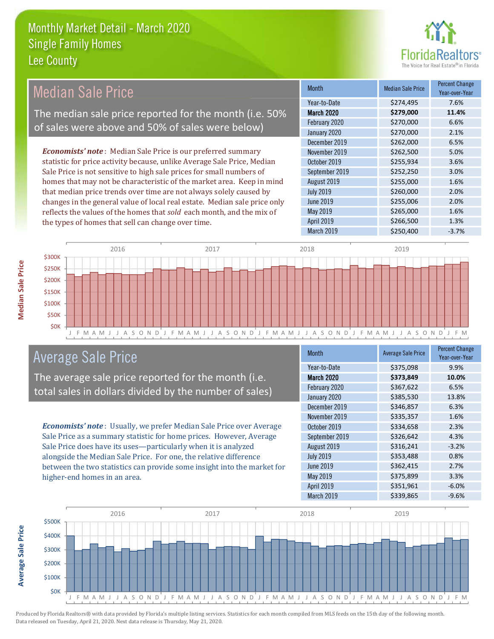

#### **Percent Change Median Sale Price Median Sale Price Month** Year-over-Year Year-to-Date \$274,495 7.6% The median sale price reported for the month (i.e. 50% **March 2020** \$279,000 11.4% 6.6% February 2020 \$270,000 of sales were above and 50% of sales were below) January 2020 \$270,000 2.1% 6.5% December 2019 \$262,000 **Economists' note**: Median Sale Price is our preferred summary November 2019 \$262,500 5.0% statistic for price activity because, unlike Average Sale Price, Median October 2019 \$255,934 3.6% Sale Price is not sensitive to high sale prices for small numbers of September 2019 \$252,250 3.0% homes that may not be characteristic of the market area. Keep in mind August 2019 \$255,000 1.6% that median price trends over time are not always solely caused by **July 2019** \$260,000 2.0% 2.0% changes in the general value of local real estate. Median sale price only **June 2019** \$255,006 reflects the values of the homes that sold each month, and the mix of May 2019 \$265,000 1.6% April 2019 \$266,500 1.3% the types of homes that sell can change over time. March 2019 \$250,400  $-3.7%$



## **Average Sale Price**

The average sale price reported for the month (i.e. total sales in dollars divided by the number of sales)

Economists' note: Usually, we prefer Median Sale Price over Average Sale Price as a summary statistic for home prices. However, Average Sale Price does have its uses-particularly when it is analyzed alongside the Median Sale Price. For one, the relative difference between the two statistics can provide some insight into the market for higher-end homes in an area.

| <b>Month</b>      | <b>Average Sale Price</b> | <b>Percent Change</b><br>Year-over-Year |
|-------------------|---------------------------|-----------------------------------------|
| Year-to-Date      | \$375,098                 | 9.9%                                    |
| <b>March 2020</b> | \$373,849                 | 10.0%                                   |
| February 2020     | \$367,622                 | 6.5%                                    |
| January 2020      | \$385,530                 | 13.8%                                   |
| December 2019     | \$346,857                 | 6.3%                                    |
| November 2019     | \$335,357                 | 1.6%                                    |
| October 2019      | \$334,658                 | 2.3%                                    |
| September 2019    | \$326,642                 | 4.3%                                    |
| August 2019       | \$316,241                 | $-3.2%$                                 |
| <b>July 2019</b>  | \$353,488                 | 0.8%                                    |
| <b>June 2019</b>  | \$362,415                 | 2.7%                                    |
| May 2019          | \$375,899                 | 3.3%                                    |
| April 2019        | \$351,961                 | $-6.0%$                                 |
| March 2019        | \$339,865                 | $-9.6%$                                 |



**Average Sale Price**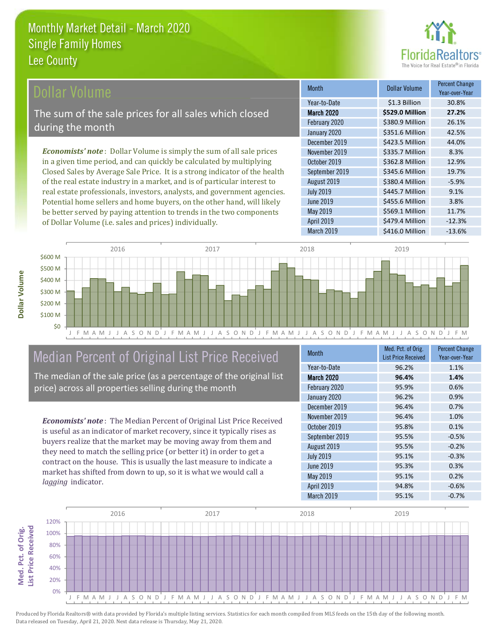

**Dollar Volume** 

\$1.3 Billion

\$529.0 Million

\$380.9 Million

\$351.6 Million

\$423.5 Million

\$335.7 Million

\$362.8 Million

\$345.6 Million

\$380.4 Million

\$445.7 Million

\$455.6 Million

\$569.1 Million

\$479.4 Million

**Percent Change** 

Year-over-Year

30.8%

27.2%

26.1%

42.5%

44.0%

8.3%

12.9%

19.7%

 $-5.9%$ 

9.1% 3.8%

11.7%

 $-12.3%$ 

 $-13.6%$ 

## **Ollar Volume**

The sum of the sale prices for all sales which closed during the month

**Economists' note**: Dollar Volume is simply the sum of all sale prices in a given time period, and can quickly be calculated by multiplying Closed Sales by Average Sale Price. It is a strong indicator of the health of the real estate industry in a market, and is of particular interest to real estate professionals, investors, analysts, and government agencies. Potential home sellers and home buyers, on the other hand, will likely be better served by paying attention to trends in the two components of Dollar Volume (i.e. sales and prices) individually.



**Month** 

Year-to-Date

**March 2020** 

February 2020

January 2020

December 2019

November 2019

September 2019

October 2019

August 2019

**July 2019** 

June 2019

May 2019

April 2019

March 2019

## Median Percent of Original List Price Received

The median of the sale price (as a percentage of the original list price) across all properties selling during the month

**Economists' note:** The Median Percent of Original List Price Received is useful as an indicator of market recovery, since it typically rises as buyers realize that the market may be moving away from them and they need to match the selling price (or better it) in order to get a contract on the house. This is usually the last measure to indicate a market has shifted from down to up, so it is what we would call a lagging indicator.

| <b>Month</b>      | Med. Pct. of Orig.<br><b>List Price Received</b> | <b>Percent Change</b><br>Year-over-Year |
|-------------------|--------------------------------------------------|-----------------------------------------|
| Year-to-Date      | 96.2%                                            | 1.1%                                    |
| <b>March 2020</b> | 96.4%                                            | 1.4%                                    |
| February 2020     | 95.9%                                            | 0.6%                                    |
| January 2020      | 96.2%                                            | 0.9%                                    |
| December 2019     | 96.4%                                            | 0.7%                                    |
| November 2019     | 96.4%                                            | 1.0%                                    |
| October 2019      | 95.8%                                            | 0.1%                                    |
| September 2019    | 95.5%                                            | $-0.5%$                                 |
| August 2019       | 95.5%                                            | $-0.2%$                                 |
| <b>July 2019</b>  | 95.1%                                            | $-0.3%$                                 |
| <b>June 2019</b>  | 95.3%                                            | 0.3%                                    |
| May 2019          | 95.1%                                            | 0.2%                                    |
| April 2019        | 94.8%                                            | $-0.6%$                                 |
| March 2019        | 95.1%                                            | $-0.7%$                                 |

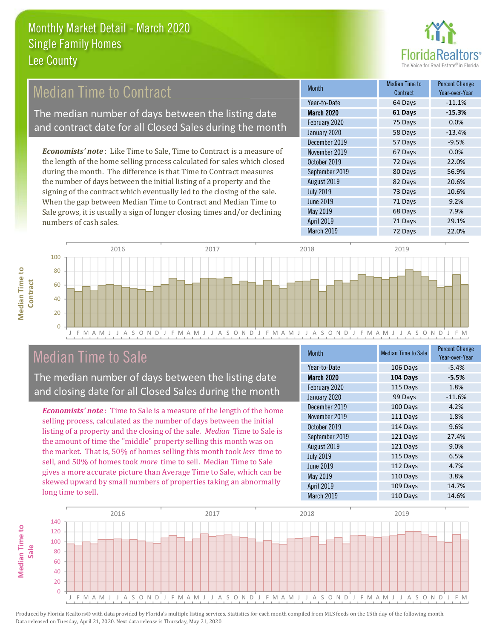

## **Median Time to Contract**

The median number of days between the listing date and contract date for all Closed Sales during the month

**Economists' note**: Like Time to Sale, Time to Contract is a measure of the length of the home selling process calculated for sales which closed during the month. The difference is that Time to Contract measures the number of days between the initial listing of a property and the signing of the contract which eventually led to the closing of the sale. When the gap between Median Time to Contract and Median Time to Sale grows, it is usually a sign of longer closing times and/or declining numbers of cash sales.

| Month            | Median Time to<br>Contract | <b>Percent Change</b><br>Year-over-Year |
|------------------|----------------------------|-----------------------------------------|
| Year-to-Date     | 64 Days                    | $-11.1%$                                |
| March 2020       | 61 Days                    | $-15.3%$                                |
| February 2020    | 75 Days                    | 0.0%                                    |
| January 2020     | 58 Days                    | $-13.4%$                                |
| December 2019    | 57 Days                    | $-9.5%$                                 |
| November 2019    | 67 Days                    | 0.0%                                    |
| October 2019     | 72 Days                    | 22.0%                                   |
| September 2019   | 80 Days                    | 56.9%                                   |
| August 2019      | 82 Days                    | 20.6%                                   |
| <b>July 2019</b> | 73 Days                    | 10.6%                                   |
| <b>June 2019</b> | 71 Days                    | 9.2%                                    |
| May 2019         | 68 Days                    | 7.9%                                    |
| April 2019       | 71 Days                    | 29.1%                                   |
| March 2019       | 72 Days                    | 22.0%                                   |



## **Median Time to Sale**

**Median Time to** 

**Median Time to** 

The median number of days between the listing date and closing date for all Closed Sales during the month

**Economists' note**: Time to Sale is a measure of the length of the home selling process, calculated as the number of days between the initial listing of a property and the closing of the sale. Median Time to Sale is the amount of time the "middle" property selling this month was on the market. That is, 50% of homes selling this month took less time to sell, and 50% of homes took *more* time to sell. Median Time to Sale gives a more accurate picture than Average Time to Sale, which can be skewed upward by small numbers of properties taking an abnormally long time to sell.

| Month            | <b>Median Time to Sale</b> | <b>Percent Change</b><br>Year-over-Year |
|------------------|----------------------------|-----------------------------------------|
| Year-to-Date     | 106 Days                   | $-5.4%$                                 |
| March 2020       | 104 Days                   | $-5.5%$                                 |
| February 2020    | 115 Days                   | 1.8%                                    |
| January 2020     | 99 Days                    | $-11.6%$                                |
| December 2019    | 100 Days                   | 4.2%                                    |
| November 2019    | 111 Days                   | 1.8%                                    |
| October 2019     | 114 Days                   | 9.6%                                    |
| September 2019   | 121 Days                   | 27.4%                                   |
| August 2019      | 121 Days                   | 9.0%                                    |
| <b>July 2019</b> | 115 Days                   | 6.5%                                    |
| <b>June 2019</b> | 112 Days                   | 4.7%                                    |
| <b>May 2019</b>  | 110 Days                   | 3.8%                                    |
| April 2019       | 109 Days                   | 14.7%                                   |
| March 2019       | 110 Days                   | 14.6%                                   |

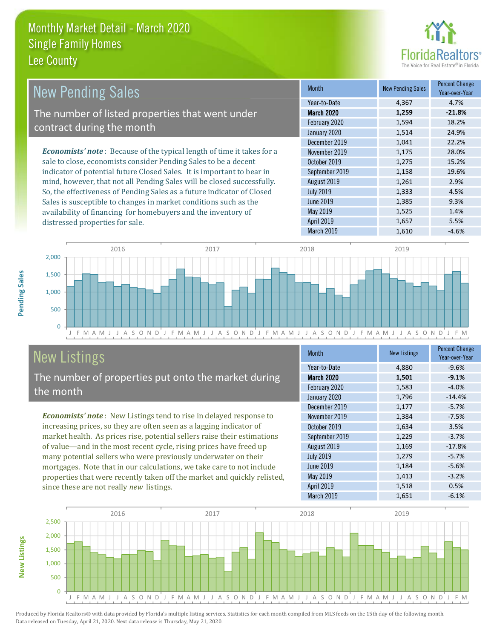

1.4%

5.5%

| <b>New Pending Sales</b>                                                      | <b>Month</b>      | <b>New Pending Sales</b> | <b>Percent Change</b><br>Year-over-Year |
|-------------------------------------------------------------------------------|-------------------|--------------------------|-----------------------------------------|
|                                                                               | Year-to-Date      | 4.367                    | 4.7%                                    |
| The number of listed properties that went under                               | <b>March 2020</b> | 1,259                    | $-21.8%$                                |
| contract during the month                                                     | February 2020     | 1,594                    | 18.2%                                   |
|                                                                               | January 2020      | 1,514                    | 24.9%                                   |
|                                                                               | December 2019     | 1,041                    | 22.2%                                   |
| <b>Economists' note:</b> Because of the typical length of time it takes for a | November 2019     | 1,175                    | 28.0%                                   |
| sale to close, economists consider Pending Sales to be a decent               | October 2019      | 1,275                    | 15.2%                                   |
| indicator of potential future Closed Sales. It is important to bear in        | September 2019    | 1,158                    | 19.6%                                   |
| mind, however, that not all Pending Sales will be closed successfully.        | August 2019       | 1,261                    | 2.9%                                    |
| So, the effectiveness of Pending Sales as a future indicator of Closed        | <b>July 2019</b>  | 1,333                    | 4.5%                                    |
| Sales is susceptible to changes in market conditions such as the              | <b>June 2019</b>  | 1,385                    | 9.3%                                    |

May 2019

April 2019



# **New Listings**

distressed properties for sale.

The number of properties put onto the market during the month

availability of financing for homebuyers and the inventory of

Economists' note: New Listings tend to rise in delayed response to increasing prices, so they are often seen as a lagging indicator of market health. As prices rise, potential sellers raise their estimations of value—and in the most recent cycle, rising prices have freed up many potential sellers who were previously underwater on their mortgages. Note that in our calculations, we take care to not include properties that were recently taken off the market and quickly relisted, since these are not really new listings.

| <b>Month</b>     | <b>New Listings</b> | <b>Percent Change</b><br>Year-over-Year |
|------------------|---------------------|-----------------------------------------|
| Year-to-Date     | 4,880               | $-9.6%$                                 |
| March 2020       | 1,501               | $-9.1%$                                 |
| February 2020    | 1,583               | $-4.0%$                                 |
| January 2020     | 1,796               | $-14.4%$                                |
| December 2019    | 1,177               | $-5.7%$                                 |
| November 2019    | 1,384               | $-7.5%$                                 |
| October 2019     | 1,634               | 3.5%                                    |
| September 2019   | 1,229               | $-3.7%$                                 |
| August 2019      | 1,169               | $-17.8%$                                |
| <b>July 2019</b> | 1,279               | $-5.7%$                                 |
| <b>June 2019</b> | 1,184               | $-5.6%$                                 |
| May 2019         | 1,413               | $-3.2%$                                 |
| April 2019       | 1,518               | 0.5%                                    |
| March 2019       | 1,651               | $-6.1%$                                 |

1,525

1,657



Produced by Florida Realtors® with data provided by Florida's multiple listing services. Statistics for each month compiled from MLS feeds on the 15th day of the following month. Data released on Tuesday, April 21, 2020. Next data release is Thursday, May 21, 2020.

**New Listings**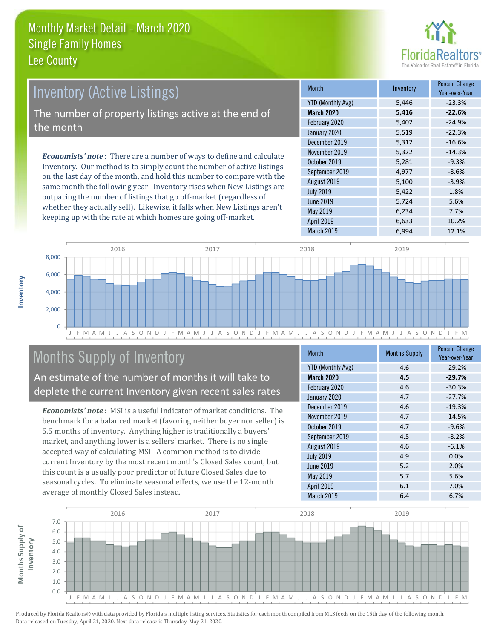

## **Inventory (Active Listings)** The number of property listings active at the end of the month

**Economists' note:** There are a number of ways to define and calculate Inventory. Our method is to simply count the number of active listings on the last day of the month, and hold this number to compare with the same month the following year. Inventory rises when New Listings are outpacing the number of listings that go off-market (regardless of whether they actually sell). Likewise, it falls when New Listings aren't keeping up with the rate at which homes are going off-market.

| <b>Month</b>             | Inventory | <b>Percent Change</b><br>Year-over-Year |
|--------------------------|-----------|-----------------------------------------|
| <b>YTD (Monthly Avg)</b> | 5,446     | $-23.3%$                                |
| March 2020               | 5,416     | $-22.6%$                                |
| February 2020            | 5,402     | $-24.9%$                                |
| January 2020             | 5,519     | $-22.3%$                                |
| December 2019            | 5,312     | $-16.6%$                                |
| November 2019            | 5,322     | $-14.3%$                                |
| October 2019             | 5,281     | $-9.3%$                                 |
| September 2019           | 4,977     | $-8.6%$                                 |
| August 2019              | 5,100     | $-3.9%$                                 |
| <b>July 2019</b>         | 5,422     | 1.8%                                    |
| June 2019                | 5,724     | 5.6%                                    |
| May 2019                 | 6,234     | 7.7%                                    |
| <b>April 2019</b>        | 6,633     | 10.2%                                   |
| March 2019               | 6.994     | 12.1%                                   |



## **Months Supply of Inventory**

An estimate of the number of months it will take to deplete the current Inventory given recent sales rates

**Economists' note:** MSI is a useful indicator of market conditions. The benchmark for a balanced market (favoring neither buyer nor seller) is 5.5 months of inventory. Anything higher is traditionally a buyers' market, and anything lower is a sellers' market. There is no single accepted way of calculating MSI. A common method is to divide current Inventory by the most recent month's Closed Sales count, but this count is a usually poor predictor of future Closed Sales due to seasonal cycles. To eliminate seasonal effects, we use the 12-month average of monthly Closed Sales instead.

| <b>Month</b>             | <b>Months Supply</b> | <b>Percent Change</b><br>Year-over-Year |
|--------------------------|----------------------|-----------------------------------------|
| <b>YTD (Monthly Avg)</b> | 4.6                  | $-29.2%$                                |
| <b>March 2020</b>        | 4.5                  | $-29.7%$                                |
| February 2020            | 4.6                  | $-30.3%$                                |
| January 2020             | 4.7                  | $-27.7%$                                |
| December 2019            | 4.6                  | $-19.3%$                                |
| November 2019            | 4.7                  | $-14.5%$                                |
| October 2019             | 4.7                  | $-9.6%$                                 |
| September 2019           | 4.5                  | $-8.2%$                                 |
| August 2019              | 4.6                  | $-6.1%$                                 |
| <b>July 2019</b>         | 4.9                  | 0.0%                                    |
| June 2019                | 5.2                  | 2.0%                                    |
| May 2019                 | 5.7                  | 5.6%                                    |
| April 2019               | 6.1                  | 7.0%                                    |
| March 2019               | 6.4                  | 6.7%                                    |

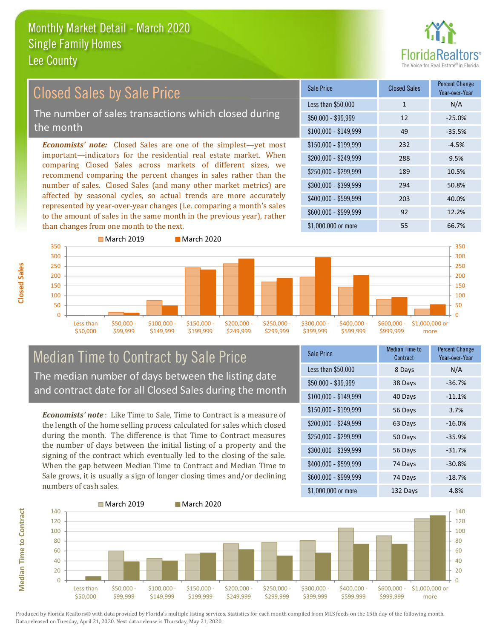■ March 2019



#### **Percent Change Closed Sales by Sale Price Closed Sales** Sale Price Year-over-Year Less than \$50,000  $\mathbf{1}$  $N/A$ The number of sales transactions which closed during  $$50.000 - $99.999$  $12$  $-25.0%$ the month 49  $$100,000 - $149,999$  $-35.5%$ **Economists' note:** Closed Sales are one of the simplest—yet most \$150,000 - \$199.999 232  $-4.5%$ important-indicators for the residential real estate market. When \$200.000 - \$249.999 288 9.5% comparing Closed Sales across markets of different sizes, we \$250,000 - \$299.999 189 10.5% recommend comparing the percent changes in sales rather than the number of sales. Closed Sales (and many other market metrics) are \$300,000 - \$399,999 294 50.8% affected by seasonal cycles, so actual trends are more accurately \$400,000 - \$599,999 203 40.0% represented by year-over-year changes (i.e. comparing a month's sales \$600.000 - \$999.999 12.2% 92 to the amount of sales in the same month in the previous year), rather than changes from one month to the next. \$1,000,000 or more 55 66.7%



March 2020

## **Median Time to Contract by Sale Price** The median number of days between the listing date and contract date for all Closed Sales during the month

**Economists' note**: Like Time to Sale. Time to Contract is a measure of the length of the home selling process calculated for sales which closed during the month. The difference is that Time to Contract measures the number of days between the initial listing of a property and the signing of the contract which eventually led to the closing of the sale. When the gap between Median Time to Contract and Median Time to Sale grows, it is usually a sign of longer closing times and/or declining numbers of cash sales.

| Sale Price            | <b>Median Time to</b><br>Contract | <b>Percent Change</b><br>Year-over-Year |
|-----------------------|-----------------------------------|-----------------------------------------|
| Less than \$50,000    | 8 Days                            | N/A                                     |
| $$50,000 - $99,999$   | 38 Days                           | $-36.7%$                                |
| $$100,000 - $149,999$ | 40 Days                           | $-11.1%$                                |
| $$150,000 - $199,999$ | 56 Days                           | 3.7%                                    |
| \$200,000 - \$249,999 | 63 Days                           | $-16.0%$                                |
| \$250,000 - \$299,999 | 50 Days                           | $-35.9%$                                |
| \$300,000 - \$399,999 | 56 Days                           | $-31.7%$                                |
| \$400,000 - \$599,999 | 74 Days                           | $-30.8%$                                |
| \$600,000 - \$999,999 | 74 Days                           | $-18.7%$                                |
| \$1,000,000 or more   | 132 Davs                          | 4.8%                                    |



**Closed Sales** 

**Median Time to Contract**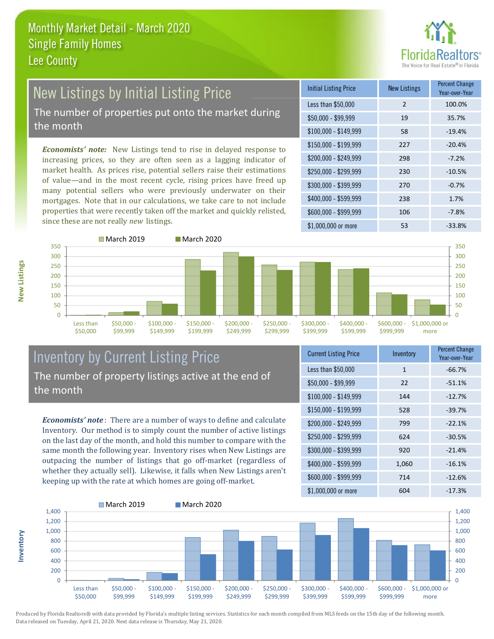

## **New Listings by Initial Listing Price** The number of properties put onto the market during

the month

Economists' note: New Listings tend to rise in delayed response to increasing prices, so they are often seen as a lagging indicator of market health. As prices rise, potential sellers raise their estimations of value—and in the most recent cycle, rising prices have freed up many potential sellers who were previously underwater on their mortgages. Note that in our calculations, we take care to not include properties that were recently taken off the market and quickly relisted, since these are not really new listings.

| <b>Initial Listing Price</b> | <b>New Listings</b> | <b>Percent Change</b><br>Year-over-Year |
|------------------------------|---------------------|-----------------------------------------|
| Less than \$50,000           | $\overline{2}$      | 100.0%                                  |
| $$50,000 - $99,999$          | 19                  | 35.7%                                   |
| $$100,000 - $149,999$        | 58                  | $-19.4%$                                |
| \$150,000 - \$199,999        | 227                 | $-20.4%$                                |
| \$200,000 - \$249,999        | 298                 | $-7.2%$                                 |
| \$250,000 - \$299,999        | 230                 | $-10.5%$                                |
| \$300,000 - \$399,999        | 270                 | $-0.7%$                                 |
| \$400,000 - \$599,999        | 238                 | 1.7%                                    |
| \$600,000 - \$999,999        | 106                 | $-7.8%$                                 |
| \$1,000,000 or more          | 53                  | $-33.8%$                                |



## **Inventory by Current Listing Price** The number of property listings active at the end of the month

**Economists' note**: There are a number of ways to define and calculate Inventory. Our method is to simply count the number of active listings on the last day of the month, and hold this number to compare with the same month the following year. Inventory rises when New Listings are outpacing the number of listings that go off-market (regardless of whether they actually sell). Likewise, it falls when New Listings aren't keeping up with the rate at which homes are going off-market.

| <b>Current Listing Price</b> | Inventory    | Percent Unange<br>Year-over-Year |
|------------------------------|--------------|----------------------------------|
| Less than \$50,000           | $\mathbf{1}$ | $-66.7%$                         |
| $$50,000 - $99,999$          | 22           | $-51.1%$                         |
| $$100,000 - $149,999$        | 144          | $-12.7%$                         |
| $$150,000 - $199,999$        | 528          | $-39.7%$                         |
| \$200,000 - \$249,999        | 799          | $-22.1%$                         |
| \$250,000 - \$299,999        | 624          | $-30.5%$                         |
| \$300,000 - \$399,999        | 920          | $-21.4%$                         |
| \$400,000 - \$599,999        | 1,060        | $-16.1%$                         |
| \$600,000 - \$999,999        | 714          | $-12.6%$                         |
| $$1$ 000 000 or more         | 60A          | $-17.3%$                         |



Produced by Florida Realtors® with data provided by Florida's multiple listing services. Statistics for each month compiled from MLS feeds on the 15th day of the following month. Data released on Tuesday, April 21, 2020. Next data release is Thursday, May 21, 2020.

nventory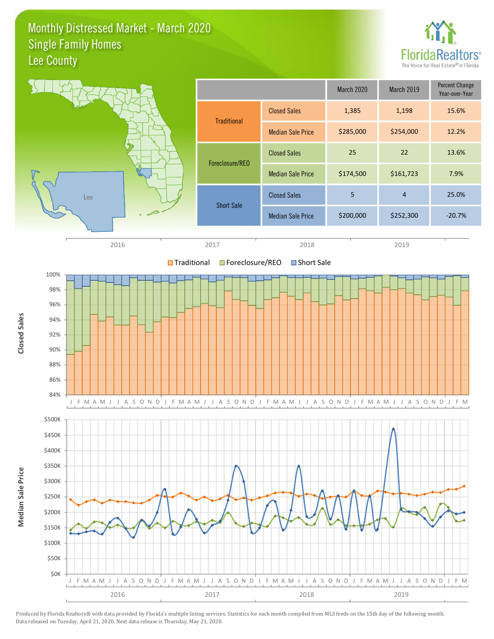#### Monthly Distressed Market - March 2020 **Single Family Homes** Lee County



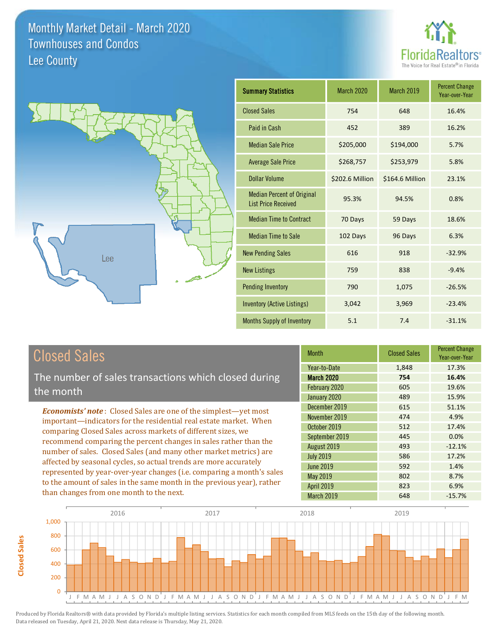



| <b>Summary Statistics</b>                                       | <b>March 2020</b> | March 2019      | <b>Percent Change</b><br>Year-over-Year |
|-----------------------------------------------------------------|-------------------|-----------------|-----------------------------------------|
| <b>Closed Sales</b>                                             | 754               | 648             | 16.4%                                   |
| Paid in Cash                                                    | 452               | 389             | 16.2%                                   |
| <b>Median Sale Price</b>                                        | \$205,000         | \$194,000       | 5.7%                                    |
| <b>Average Sale Price</b>                                       | \$268,757         | \$253,979       | 5.8%                                    |
| Dollar Volume                                                   | \$202.6 Million   | \$164.6 Million | 23.1%                                   |
| <b>Median Percent of Original</b><br><b>List Price Received</b> | 95.3%             | 94.5%           | 0.8%                                    |
| <b>Median Time to Contract</b>                                  | 70 Days           | 59 Days         | 18.6%                                   |
| <b>Median Time to Sale</b>                                      | 102 Days          | 96 Days         | 6.3%                                    |
| <b>New Pending Sales</b>                                        | 616               | 918             | $-32.9%$                                |
| <b>New Listings</b>                                             | 759               | 838             | $-9.4%$                                 |
| <b>Pending Inventory</b>                                        | 790               | 1,075           | $-26.5%$                                |
| <b>Inventory (Active Listings)</b>                              | 3,042             | 3,969           | $-23.4%$                                |
| <b>Months Supply of Inventory</b>                               | 5.1               | 7.4             | $-31.1%$                                |

## **Closed Sales**

The number of sales transactions which closed during the month

**Economists' note:** Closed Sales are one of the simplest-yet most important-indicators for the residential real estate market. When comparing Closed Sales across markets of different sizes, we recommend comparing the percent changes in sales rather than the number of sales. Closed Sales (and many other market metrics) are affected by seasonal cycles, so actual trends are more accurately represented by year-over-year changes (i.e. comparing a month's sales to the amount of sales in the same month in the previous year), rather than changes from one month to the next.

| <b>Month</b>      | <b>Closed Sales</b> | <b>Percent Change</b><br>Year-over-Year |
|-------------------|---------------------|-----------------------------------------|
| Year-to-Date      | 1,848               | 17.3%                                   |
| <b>March 2020</b> | 754                 | 16.4%                                   |
| February 2020     | 605                 | 19.6%                                   |
| January 2020      | 489                 | 15.9%                                   |
| December 2019     | 615                 | 51.1%                                   |
| November 2019     | 474                 | 4.9%                                    |
| October 2019      | 512                 | 17.4%                                   |
| September 2019    | 445                 | 0.0%                                    |
| August 2019       | 493                 | $-12.1%$                                |
| <b>July 2019</b>  | 586                 | 17.2%                                   |
| <b>June 2019</b>  | 592                 | 1.4%                                    |
| May 2019          | 802                 | 8.7%                                    |
| <b>April 2019</b> | 823                 | 6.9%                                    |
| March 2019        | 648                 | $-15.7%$                                |

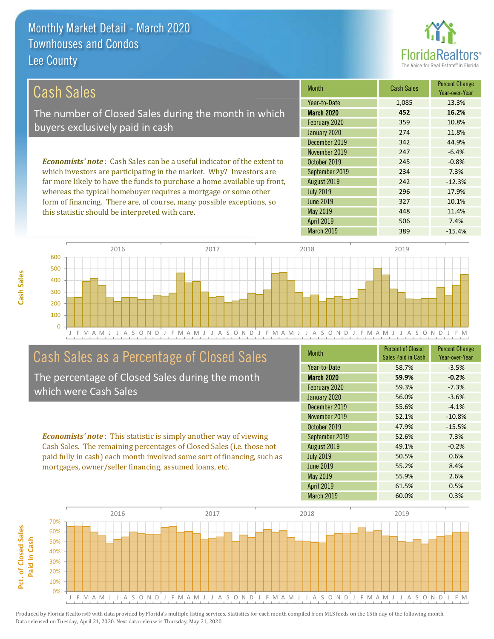

10.1%

11.4%

7.4%

| Cash Sales                                                                     | <b>Month</b>      | <b>Cash Sales</b> | <b>Percent Change</b><br>Year-over-Year |
|--------------------------------------------------------------------------------|-------------------|-------------------|-----------------------------------------|
|                                                                                | Year-to-Date      | 1,085             | 13.3%                                   |
| The number of Closed Sales during the month in which                           | <b>March 2020</b> | 452               | 16.2%                                   |
| buyers exclusively paid in cash                                                | February 2020     | 359               | 10.8%                                   |
|                                                                                | January 2020      | 274               | 11.8%                                   |
|                                                                                | December 2019     | 342               | 44.9%                                   |
|                                                                                | November 2019     | 247               | $-6.4%$                                 |
| <b>Economists' note:</b> Cash Sales can be a useful indicator of the extent to | October 2019      | 245               | $-0.8%$                                 |
| which investors are participating in the market. Why? Investors are            | September 2019    | 234               | 7.3%                                    |
| far more likely to have the funds to purchase a home available up front,       | August 2019       | 242               | $-12.3%$                                |
| whereas the typical homebuyer requires a mortgage or some other                | <b>July 2019</b>  | 296               | 17.9%                                   |

**June 2019** 

May 2019

April 2019



## Cash Sales as a Percentage of Closed Sales

form of financing. There are, of course, many possible exceptions, so

this statistic should be interpreted with care.

The percentage of Closed Sales during the month which were Cash Sales

**Economists' note:** This statistic is simply another way of viewing Cash Sales. The remaining percentages of Closed Sales (i.e. those not paid fully in cash) each month involved some sort of financing, such as mortgages, owner/seller financing, assumed loans, etc.

| <b>Month</b>      | <b>Percent of Closed</b><br>Sales Paid in Cash | <b>Percent Change</b><br>Year-over-Year |
|-------------------|------------------------------------------------|-----------------------------------------|
| Year-to-Date      | 58.7%                                          | $-3.5%$                                 |
| <b>March 2020</b> | 59.9%                                          | $-0.2%$                                 |
| February 2020     | 59.3%                                          | $-7.3%$                                 |
| January 2020      | 56.0%                                          | $-3.6%$                                 |
| December 2019     | 55.6%                                          | $-4.1%$                                 |
| November 2019     | 52.1%                                          | $-10.8%$                                |
| October 2019      | 47.9%                                          | $-15.5%$                                |
| September 2019    | 52.6%                                          | 7.3%                                    |
| August 2019       | 49.1%                                          | $-0.2%$                                 |
| <b>July 2019</b>  | 50.5%                                          | 0.6%                                    |
| <b>June 2019</b>  | 55.2%                                          | 8.4%                                    |
| May 2019          | 55.9%                                          | 2.6%                                    |
| <b>April 2019</b> | 61.5%                                          | 0.5%                                    |
| March 2019        | 60.0%                                          | 0.3%                                    |

327

448

506

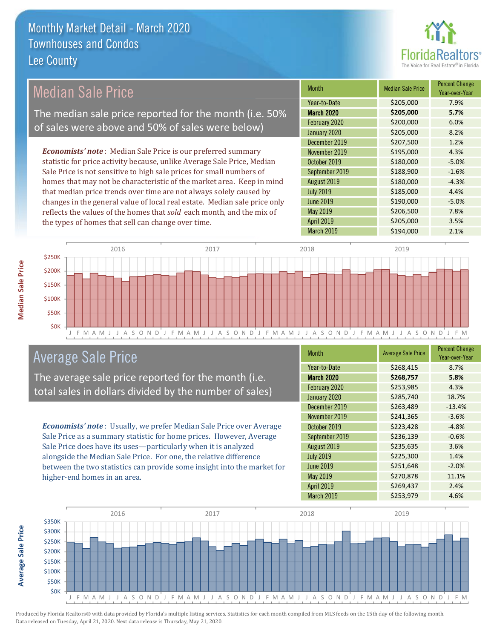

## **Median Sale Price**

The median sale price reported for the month (i.e. 50% of sales were above and 50% of sales were below)

**Economists' note**: Median Sale Price is our preferred summary statistic for price activity because, unlike Average Sale Price, Median Sale Price is not sensitive to high sale prices for small numbers of homes that may not be characteristic of the market area. Keep in mind that median price trends over time are not always solely caused by changes in the general value of local real estate. Median sale price only reflects the values of the homes that sold each month, and the mix of the types of homes that sell can change over time.

| <b>Month</b>      | <b>Median Sale Price</b> | <b>Percent Change</b><br>Year-over-Year |
|-------------------|--------------------------|-----------------------------------------|
| Year-to-Date      | \$205,000                | 7.9%                                    |
| <b>March 2020</b> | \$205,000                | 5.7%                                    |
| February 2020     | \$200,000                | 6.0%                                    |
| January 2020      | \$205,000                | 8.2%                                    |
| December 2019     | \$207,500                | 1.2%                                    |
| November 2019     | \$195,000                | 4.3%                                    |
| October 2019      | \$180,000                | $-5.0%$                                 |
| September 2019    | \$188,900                | $-1.6%$                                 |
| August 2019       | \$180,000                | $-4.3%$                                 |
| <b>July 2019</b>  | \$185,000                | 4.4%                                    |
| <b>June 2019</b>  | \$190,000                | $-5.0%$                                 |
| <b>May 2019</b>   | \$206,500                | 7.8%                                    |
| <b>April 2019</b> | \$205,000                | 3.5%                                    |
| March 2019        | \$194,000                | 2.1%                                    |



## **Average Sale Price**

The average sale price reported for the month (i.e. total sales in dollars divided by the number of sales)

Economists' note: Usually, we prefer Median Sale Price over Average Sale Price as a summary statistic for home prices. However, Average Sale Price does have its uses-particularly when it is analyzed alongside the Median Sale Price. For one, the relative difference between the two statistics can provide some insight into the market for higher-end homes in an area.

| Month             | <b>Average Sale Price</b> | <b>Percent Change</b><br>Year-over-Year |
|-------------------|---------------------------|-----------------------------------------|
| Year-to-Date      | \$268,415                 | 8.7%                                    |
| <b>March 2020</b> | \$268,757                 | 5.8%                                    |
| February 2020     | \$253,985                 | 4.3%                                    |
| January 2020      | \$285,740                 | 18.7%                                   |
| December 2019     | \$263,489                 | $-13.4%$                                |
| November 2019     | \$241,365                 | $-3.6%$                                 |
| October 2019      | \$223,428                 | $-4.8%$                                 |
| September 2019    | \$236,139                 | $-0.6%$                                 |
| August 2019       | \$235,635                 | 3.6%                                    |
| <b>July 2019</b>  | \$225,300                 | 1.4%                                    |
| <b>June 2019</b>  | \$251,648                 | $-2.0%$                                 |
| May 2019          | \$270,878                 | 11.1%                                   |
| <b>April 2019</b> | \$269,437                 | 2.4%                                    |
| March 2019        | \$253,979                 | 4.6%                                    |



**Median Sale Price**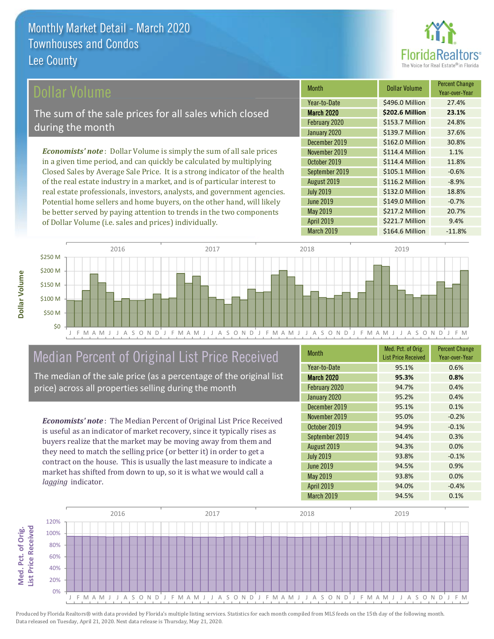

## ollar Volume

The sum of the sale prices for all sales which closed during the month

**Economists' note**: Dollar Volume is simply the sum of all sale prices in a given time period, and can quickly be calculated by multiplying Closed Sales by Average Sale Price. It is a strong indicator of the health of the real estate industry in a market, and is of particular interest to real estate professionals, investors, analysts, and government agencies. Potential home sellers and home buyers, on the other hand, will likely be better served by paying attention to trends in the two components of Dollar Volume (i.e. sales and prices) individually.

| Month             | <b>Dollar Volume</b> | <b>Percent Change</b><br>Year-over-Year |
|-------------------|----------------------|-----------------------------------------|
| Year-to-Date      | \$496.0 Million      | 27.4%                                   |
| <b>March 2020</b> | \$202.6 Million      | 23.1%                                   |
| February 2020     | \$153.7 Million      | 24.8%                                   |
| January 2020      | \$139.7 Million      | 37.6%                                   |
| December 2019     | \$162.0 Million      | 30.8%                                   |
| November 2019     | \$114.4 Million      | 1.1%                                    |
| October 2019      | \$114.4 Million      | 11.8%                                   |
| September 2019    | \$105.1 Million      | $-0.6%$                                 |
| August 2019       | \$116.2 Million      | $-8.9%$                                 |
| <b>July 2019</b>  | \$132.0 Million      | 18.8%                                   |
| <b>June 2019</b>  | \$149.0 Million      | $-0.7%$                                 |
| May 2019          | \$217.2 Million      | 20.7%                                   |
| <b>April 2019</b> | \$221.7 Million      | 9.4%                                    |
| March 2019        | \$164.6 Million      | $-11.8%$                                |



## Median Percent of Original List Price Received

The median of the sale price (as a percentage of the original list price) across all properties selling during the month

**Economists' note:** The Median Percent of Original List Price Received is useful as an indicator of market recovery, since it typically rises as buyers realize that the market may be moving away from them and they need to match the selling price (or better it) in order to get a contract on the house. This is usually the last measure to indicate a market has shifted from down to up, so it is what we would call a lagging indicator.

| <b>Month</b>      | Med. Pct. of Orig.<br><b>List Price Received</b> | <b>Percent Change</b><br>Year-over-Year |
|-------------------|--------------------------------------------------|-----------------------------------------|
| Year-to-Date      | 95.1%                                            | 0.6%                                    |
| <b>March 2020</b> | 95.3%                                            | 0.8%                                    |
| February 2020     | 94.7%                                            | 0.4%                                    |
| January 2020      | 95.2%                                            | 0.4%                                    |
| December 2019     | 95.1%                                            | 0.1%                                    |
| November 2019     | 95.0%                                            | $-0.2%$                                 |
| October 2019      | 94.9%                                            | $-0.1%$                                 |
| September 2019    | 94.4%                                            | 0.3%                                    |
| August 2019       | 94.3%                                            | 0.0%                                    |
| <b>July 2019</b>  | 93.8%                                            | $-0.1%$                                 |
| <b>June 2019</b>  | 94.5%                                            | 0.9%                                    |
| May 2019          | 93.8%                                            | 0.0%                                    |
| <b>April 2019</b> | 94.0%                                            | $-0.4%$                                 |
| March 2019        | 94.5%                                            | 0.1%                                    |



Produced by Florida Realtors® with data provided by Florida's multiple listing services. Statistics for each month compiled from MLS feeds on the 15th day of the following month. Data released on Tuesday, April 21, 2020. Next data release is Thursday, May 21, 2020.

Med. Pct. of Orig.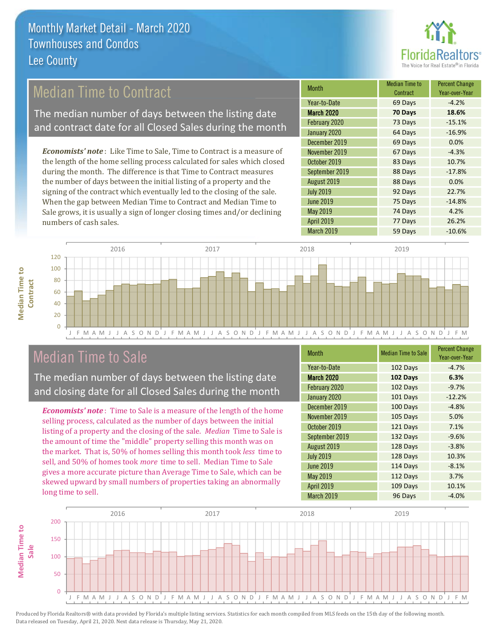

## **Median Time to Contract**

The median number of days between the listing date and contract date for all Closed Sales during the month

**Economists' note**: Like Time to Sale, Time to Contract is a measure of the length of the home selling process calculated for sales which closed during the month. The difference is that Time to Contract measures the number of days between the initial listing of a property and the signing of the contract which eventually led to the closing of the sale. When the gap between Median Time to Contract and Median Time to Sale grows, it is usually a sign of longer closing times and/or declining numbers of cash sales.

| Month             | Median Time to<br>Contract | <b>Percent Change</b><br>Year-over-Year |
|-------------------|----------------------------|-----------------------------------------|
| Year-to-Date      | 69 Days                    | $-4.2%$                                 |
| <b>March 2020</b> | 70 Days                    | 18.6%                                   |
| February 2020     | 73 Days                    | $-15.1%$                                |
| January 2020      | 64 Days                    | $-16.9%$                                |
| December 2019     | 69 Days                    | 0.0%                                    |
| November 2019     | 67 Days                    | $-4.3%$                                 |
| October 2019      | 83 Days                    | 10.7%                                   |
| September 2019    | 88 Days                    | $-17.8%$                                |
| August 2019       | 88 Days                    | 0.0%                                    |
| <b>July 2019</b>  | 92 Days                    | 22.7%                                   |
| <b>June 2019</b>  | 75 Days                    | $-14.8%$                                |
| May 2019          | 74 Days                    | 4.2%                                    |
| <b>April 2019</b> | 77 Days                    | 26.2%                                   |
| March 2019        | 59 Days                    | $-10.6%$                                |



## **Median Time to Sale**

**Median Time to** 

**Median Time to** 

The median number of days between the listing date and closing date for all Closed Sales during the month

**Economists' note**: Time to Sale is a measure of the length of the home selling process, calculated as the number of days between the initial listing of a property and the closing of the sale. Median Time to Sale is the amount of time the "middle" property selling this month was on the market. That is, 50% of homes selling this month took less time to sell, and 50% of homes took *more* time to sell. Median Time to Sale gives a more accurate picture than Average Time to Sale, which can be skewed upward by small numbers of properties taking an abnormally long time to sell.

| <b>Month</b>      | <b>Median Time to Sale</b> | <b>Percent Change</b><br>Year-over-Year |
|-------------------|----------------------------|-----------------------------------------|
| Year-to-Date      | 102 Days                   | $-4.7%$                                 |
| <b>March 2020</b> | 102 Days                   | 6.3%                                    |
| February 2020     | 102 Days                   | $-9.7%$                                 |
| January 2020      | 101 Days                   | $-12.2%$                                |
| December 2019     | 100 Days                   | $-4.8%$                                 |
| November 2019     | 105 Days                   | 5.0%                                    |
| October 2019      | 121 Days                   | 7.1%                                    |
| September 2019    | 132 Days                   | $-9.6%$                                 |
| August 2019       | 128 Days                   | $-3.8%$                                 |
| <b>July 2019</b>  | 128 Days                   | 10.3%                                   |
| <b>June 2019</b>  | 114 Days                   | $-8.1%$                                 |
| May 2019          | 112 Days                   | 3.7%                                    |
| <b>April 2019</b> | 109 Days                   | 10.1%                                   |
| March 2019        | 96 Days                    | $-4.0%$                                 |

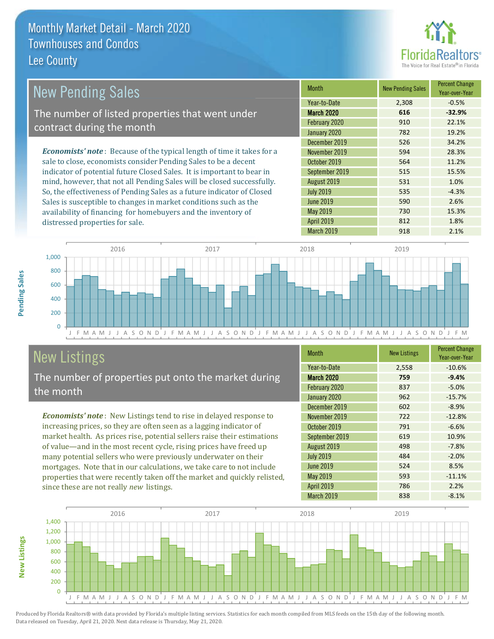

15.3%

1.8%

2.1%

| <b>New Pending Sales</b>                                                       | <b>Month</b>      | <b>New Pending Sales</b> | <b>Percent Change</b><br>Year-over-Year |
|--------------------------------------------------------------------------------|-------------------|--------------------------|-----------------------------------------|
|                                                                                | Year-to-Date      | 2,308                    | $-0.5%$                                 |
| The number of listed properties that went under                                | <b>March 2020</b> | 616                      | $-32.9%$                                |
| contract during the month                                                      | February 2020     | 910                      | 22.1%                                   |
|                                                                                | January 2020      | 782                      | 19.2%                                   |
|                                                                                | December 2019     | 526                      | 34.2%                                   |
| <b>Economists' note</b> : Because of the typical length of time it takes for a | November 2019     | 594                      | 28.3%                                   |
| sale to close, economists consider Pending Sales to be a decent                | October 2019      | 564                      | 11.2%                                   |
| indicator of potential future Closed Sales. It is important to bear in         | September 2019    | 515                      | 15.5%                                   |
| mind, however, that not all Pending Sales will be closed successfully.         | August 2019       | 531                      | 1.0%                                    |
| So, the effectiveness of Pending Sales as a future indicator of Closed         | <b>July 2019</b>  | 535                      | $-4.3%$                                 |
| Sales is susceptible to changes in market conditions such as the               | $\lim_{9}$ 2019   | 590                      | 2.6%                                    |

May 2019

April 2019



# **New Listings**

distressed properties for sale.

The number of properties put onto the market during the month

availability of financing for homebuyers and the inventory of

Economists' note: New Listings tend to rise in delayed response to increasing prices, so they are often seen as a lagging indicator of market health. As prices rise, potential sellers raise their estimations of value—and in the most recent cycle, rising prices have freed up many potential sellers who were previously underwater on their mortgages. Note that in our calculations, we take care to not include properties that were recently taken off the market and quickly relisted, since these are not really new listings.

| <b>Month</b>      | <b>New Listings</b> | <b>Percent Change</b><br>Year-over-Year |
|-------------------|---------------------|-----------------------------------------|
| Year-to-Date      | 2,558               | $-10.6%$                                |
| <b>March 2020</b> | 759                 | $-9.4%$                                 |
| February 2020     | 837                 | $-5.0%$                                 |
| January 2020      | 962                 | $-15.7%$                                |
| December 2019     | 602                 | $-8.9%$                                 |
| November 2019     | 722                 | $-12.8%$                                |
| October 2019      | 791                 | $-6.6%$                                 |
| September 2019    | 619                 | 10.9%                                   |
| August 2019       | 498                 | $-7.8%$                                 |
| <b>July 2019</b>  | 484                 | $-2.0%$                                 |
| <b>June 2019</b>  | 524                 | 8.5%                                    |
| May 2019          | 593                 | $-11.1%$                                |
| <b>April 2019</b> | 786                 | 2.2%                                    |
| March 2019        | 838                 | $-8.1%$                                 |

730

812

918



Produced by Florida Realtors® with data provided by Florida's multiple listing services. Statistics for each month compiled from MLS feeds on the 15th day of the following month. Data released on Tuesday, April 21, 2020. Next data release is Thursday, May 21, 2020.

**New Listings**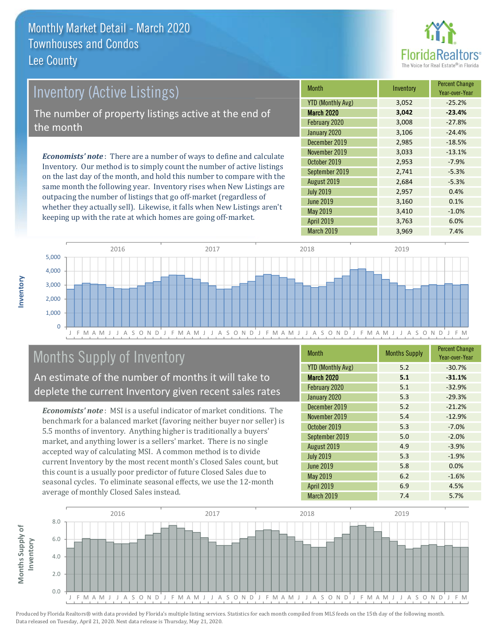

## **Inventory (Active Listings)** The number of property listings active at the end of the month

**Economists' note:** There are a number of ways to define and calculate Inventory. Our method is to simply count the number of active listings on the last day of the month, and hold this number to compare with the same month the following year. Inventory rises when New Listings are outpacing the number of listings that go off-market (regardless of whether they actually sell). Likewise, it falls when New Listings aren't keeping up with the rate at which homes are going off-market.

| <b>Month</b>             | Inventory | <b>Percent Change</b><br>Year-over-Year |
|--------------------------|-----------|-----------------------------------------|
| <b>YTD (Monthly Avg)</b> | 3,052     | $-25.2%$                                |
| <b>March 2020</b>        | 3,042     | $-23.4%$                                |
| February 2020            | 3,008     | $-27.8%$                                |
| January 2020             | 3,106     | $-24.4%$                                |
| December 2019            | 2,985     | $-18.5%$                                |
| November 2019            | 3,033     | $-13.1%$                                |
| October 2019             | 2,953     | $-7.9%$                                 |
| September 2019           | 2,741     | $-5.3%$                                 |
| August 2019              | 2,684     | $-5.3%$                                 |
| <b>July 2019</b>         | 2,957     | 0.4%                                    |
| <b>June 2019</b>         | 3,160     | 0.1%                                    |
| May 2019                 | 3,410     | $-1.0%$                                 |
| <b>April 2019</b>        | 3,763     | 6.0%                                    |
| March 2019               | 3,969     | 7.4%                                    |



## **Months Supply of Inventory**

An estimate of the number of months it will take to deplete the current Inventory given recent sales rates

**Economists' note**: MSI is a useful indicator of market conditions. The benchmark for a balanced market (favoring neither buyer nor seller) is 5.5 months of inventory. Anything higher is traditionally a buyers' market, and anything lower is a sellers' market. There is no single accepted way of calculating MSI. A common method is to divide current Inventory by the most recent month's Closed Sales count, but this count is a usually poor predictor of future Closed Sales due to seasonal cycles. To eliminate seasonal effects, we use the 12-month average of monthly Closed Sales instead.

| <b>Month</b>             | <b>Months Supply</b> | <b>Percent Change</b><br>Year-over-Year |
|--------------------------|----------------------|-----------------------------------------|
| <b>YTD (Monthly Avg)</b> | 5.2                  | $-30.7%$                                |
| <b>March 2020</b>        | 5.1                  | $-31.1%$                                |
| February 2020            | 5.1                  | $-32.9%$                                |
| January 2020             | 5.3                  | $-29.3%$                                |
| December 2019            | 5.2                  | $-21.2%$                                |
| November 2019            | 5.4                  | $-12.9%$                                |
| October 2019             | 5.3                  | $-7.0%$                                 |
| September 2019           | 5.0                  | $-2.0%$                                 |
| August 2019              | 4.9                  | $-3.9%$                                 |
| <b>July 2019</b>         | 5.3                  | $-1.9%$                                 |
| <b>June 2019</b>         | 5.8                  | 0.0%                                    |
| May 2019                 | 6.2                  | $-1.6%$                                 |
| <b>April 2019</b>        | 6.9                  | 4.5%                                    |
| <b>March 2019</b>        | 7.4                  | 5.7%                                    |

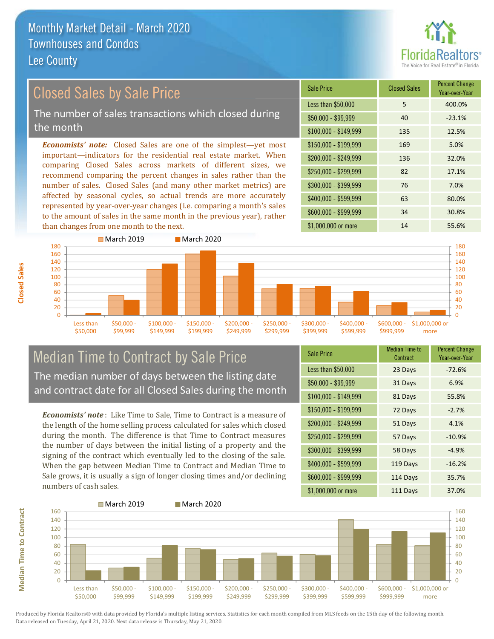

## **Closed Sales by Sale Price**

The number of sales transactions which closed during the month

**Economists' note:** Closed Sales are one of the simplest—yet most important-indicators for the residential real estate market. When comparing Closed Sales across markets of different sizes, we recommend comparing the percent changes in sales rather than the number of sales. Closed Sales (and many other market metrics) are affected by seasonal cycles, so actual trends are more accurately represented by year-over-year changes (i.e. comparing a month's sales to the amount of sales in the same month in the previous year), rather than changes from one month to the next.





## **Median Time to Contract by Sale Price** The median number of days between the listing date and contract date for all Closed Sales during the month

**Economists' note**: Like Time to Sale. Time to Contract is a measure of the length of the home selling process calculated for sales which closed during the month. The difference is that Time to Contract measures the number of days between the initial listing of a property and the signing of the contract which eventually led to the closing of the sale. When the gap between Median Time to Contract and Median Time to Sale grows, it is usually a sign of longer closing times and/or declining numbers of cash sales.

| <b>Sale Price</b>     | <b>Median Time to</b><br>Contract | <b>Percent Change</b><br>Year-over-Year |
|-----------------------|-----------------------------------|-----------------------------------------|
| Less than \$50,000    | 23 Days                           | $-72.6%$                                |
| \$50,000 - \$99,999   | 31 Days                           | 6.9%                                    |
| $$100,000 - $149,999$ | 81 Days                           | 55.8%                                   |
| \$150,000 - \$199,999 | 72 Days                           | $-2.7%$                                 |
| \$200,000 - \$249,999 | 51 Days                           | 4.1%                                    |
| \$250,000 - \$299,999 | 57 Days                           | $-10.9%$                                |
| \$300,000 - \$399,999 | 58 Days                           | $-4.9%$                                 |
| \$400,000 - \$599,999 | 119 Days                          | $-16.2%$                                |
| \$600,000 - \$999,999 | 114 Days                          | 35.7%                                   |
| \$1,000,000 or more   | 111 Days                          | 37.0%                                   |

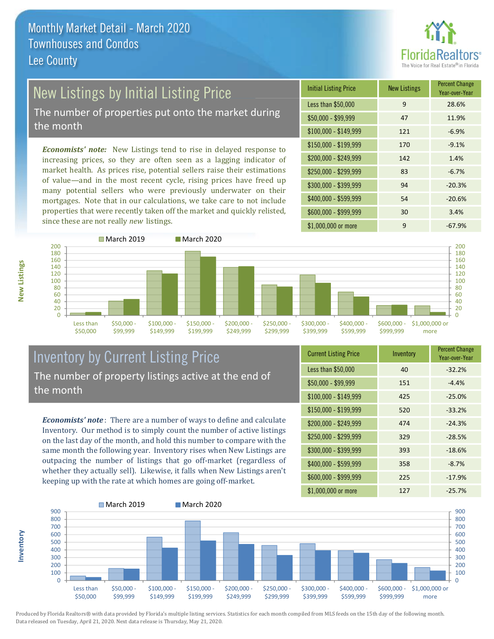

 $10<sub>h</sub>$ 

# New Listings by Initial Listing Price

The number of properties put onto the market during the month

Economists' note: New Listings tend to rise in delayed response to increasing prices, so they are often seen as a lagging indicator of market health. As prices rise, potential sellers raise their estimations of value—and in the most recent cycle, rising prices have freed up many potential sellers who were previously underwater on their mortgages. Note that in our calculations, we take care to not include properties that were recently taken off the market and quickly relisted, since these are not really new listings.

| <b>Initial Listing Price</b> | <b>New Listings</b> | <b>Percent Change</b><br>Year-over-Year |
|------------------------------|---------------------|-----------------------------------------|
| Less than \$50,000           | 9                   | 28.6%                                   |
| $$50,000 - $99,999$          | 47                  | 11.9%                                   |
| $$100,000 - $149,999$        | 121                 | $-6.9%$                                 |
| $$150,000 - $199,999$        | 170                 | $-9.1%$                                 |
| \$200,000 - \$249,999        | 142                 | 1.4%                                    |
| \$250,000 - \$299,999        | 83                  | $-6.7%$                                 |
| \$300,000 - \$399,999        | 94                  | $-20.3%$                                |
| \$400,000 - \$599,999        | 54                  | $-20.6%$                                |
| \$600,000 - \$999,999        | 30                  | 3.4%                                    |
| \$1,000,000 or more          | 9                   | $-67.9%$                                |



## **Inventory by Current Listing Price** The number of property listings active at the end of the month

**Economists' note**: There are a number of ways to define and calculate Inventory. Our method is to simply count the number of active listings on the last day of the month, and hold this number to compare with the same month the following year. Inventory rises when New Listings are outpacing the number of listings that go off-market (regardless of whether they actually sell). Likewise, it falls when New Listings aren't keeping up with the rate at which homes are going off-market.

| <b>Current Listing Price</b> | Inventory | <b>I CILCIII UIIAIIKE</b><br>Year-over-Year |
|------------------------------|-----------|---------------------------------------------|
| Less than \$50,000           | 40        | $-32.2%$                                    |
| $$50,000 - $99,999$          | 151       | $-4.4%$                                     |
| $$100,000 - $149,999$        | 425       | $-25.0%$                                    |
| $$150,000 - $199,999$        | 520       | $-33.2%$                                    |
| \$200,000 - \$249,999        | 474       | $-24.3%$                                    |
| \$250,000 - \$299,999        | 329       | $-28.5%$                                    |
| \$300,000 - \$399,999        | 393       | $-18.6%$                                    |
| \$400,000 - \$599,999        | 358       | $-8.7%$                                     |
| \$600,000 - \$999,999        | 225       | $-17.9%$                                    |
| \$1 000 000 or more          | 127       | $-257%$                                     |



Produced by Florida Realtors® with data provided by Florida's multiple listing services. Statistics for each month compiled from MLS feeds on the 15th day of the following month. Data released on Tuesday, April 21, 2020. Next data release is Thursday, May 21, 2020.

nventory